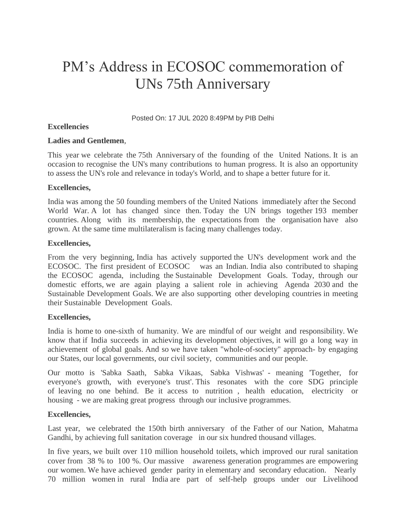# PM's Address in ECOSOC commemoration of UNs 75th Anniversary

Posted On: 17 JUL 2020 8:49PM by PIB Delhi

#### **Excellencies**

#### **Ladies and Gentlemen**,

This year we celebrate the 75th Anniversary of the founding of the United Nations. It is an occasion to recognise the UN's many contributions to human progress. It is also an opportunity to assess the UN's role and relevance in today's World, and to shape a better future for it.

#### **Excellencies,**

India was among the 50 founding members of the United Nations immediately after the Second World War. A lot has changed since then. Today the UN brings together 193 member countries. Along with its membership, the expectations from the organisation have also grown. At the same time multilateralism is facing many challenges today.

#### **Excellencies,**

From the very beginning, India has actively supported the UN's development work and the ECOSOC. The first president of ECOSOC was an Indian. India also contributed to shaping the ECOSOC agenda, including the Sustainable Development Goals. Today, through our domestic efforts, we are again playing a salient role in achieving Agenda 2030 and the Sustainable Development Goals. We are also supporting other developing countries in meeting their Sustainable Development Goals.

#### **Excellencies,**

India is home to one-sixth of humanity. We are mindful of our weight and responsibility. We know that if India succeeds in achieving its development objectives, it will go a long way in achievement of global goals. And so we have taken "whole-of-society" approach- by engaging our States, our local governments, our civil society, communities and our people.

Our motto is 'Sabka Saath, Sabka Vikaas, Sabka Vishwas' - meaning 'Together, for everyone's growth, with everyone's trust'. This resonates with the core SDG principle of leaving no one behind. Be it access to nutrition , health education, electricity or housing - we are making great progress through our inclusive programmes.

#### **Excellencies,**

Last year, we celebrated the 150th birth anniversary of the Father of our Nation, Mahatma Gandhi, by achieving full sanitation coverage in our six hundred thousand villages.

In five years, we built over 110 million household toilets, which improved our rural sanitation cover from 38 % to 100 %. Our massive awareness generation programmes are empowering our women. We have achieved gender parity in elementary and secondary education. Nearly 70 million women in rural India are part of self-help groups under our Livelihood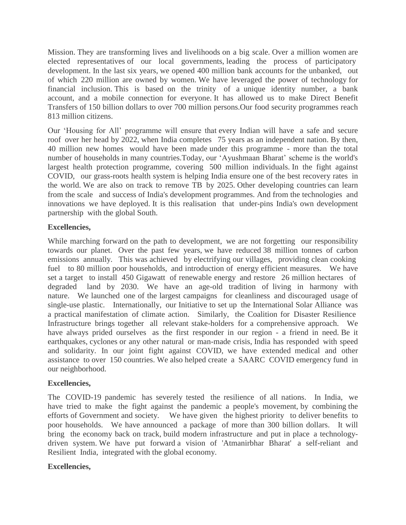Mission. They are transforming lives and livelihoods on a big scale. Over a million women are elected representatives of our local governments, leading the process of participatory development. In the last six years, we opened 400 million bank accounts for the unbanked, out of which 220 million are owned by women. We have leveraged the power of technology for financial inclusion. This is based on the trinity of a unique identity number, a bank account, and a mobile connection for everyone. It has allowed us to make Direct Benefit Transfers of 150 billion dollars to over 700 million persons.Our food security programmes reach 813 million citizens.

Our 'Housing for All' programme will ensure that every Indian will have a safe and secure roof over her head by 2022, when India completes 75 years as an independent nation. By then, 40 million new homes would have been made under this programme - more than the total number of households in many countries.Today, our 'Ayushmaan Bharat' scheme is the world's largest health protection programme, covering 500 million individuals. In the fight against COVID, our grass-roots health system is helping India ensure one of the best recovery rates in the world. We are also on track to remove TB by 2025. Other developing countries can learn from the scale and success of India's development programmes. And from the technologies and innovations we have deployed. It is this realisation that under-pins India's own development partnership with the global South.

#### **Excellencies,**

While marching forward on the path to development, we are not forgetting our responsibility towards our planet. Over the past few years, we have reduced 38 million tonnes of carbon emissions annually. This was achieved by electrifying our villages, providing clean cooking fuel to 80 million poor households, and introduction of energy efficient measures. We have set a target to install 450 Gigawatt of renewable energy and restore 26 million hectares of degraded land by 2030. We have an age-old tradition of living in harmony with nature. We launched one of the largest campaigns for cleanliness and discouraged usage of single-use plastic. Internationally, our Initiative to set up the International Solar Alliance was a practical manifestation of climate action. Similarly, the Coalition for Disaster Resilience Infrastructure brings together all relevant stake-holders for a comprehensive approach. We have always prided ourselves as the first responder in our region - a friend in need. Be it earthquakes, cyclones or any other natural or man-made crisis, India has responded with speed and solidarity. In our joint fight against COVID, we have extended medical and other assistance to over 150 countries. We also helped create a SAARC COVID emergency fund in our neighborhood.

#### **Excellencies,**

The COVID-19 pandemic has severely tested the resilience of all nations. In India, we have tried to make the fight against the pandemic a people's movement, by combining the efforts of Government and society. We have given the highest priority to deliver benefits to poor households. We have announced a package of more than 300 billion dollars. It will bring the economy back on track, build modern infrastructure and put in place a technologydriven system. We have put forward a vision of 'Atmanirbhar Bharat' a self-reliant and Resilient India, integrated with the global economy.

#### **Excellencies,**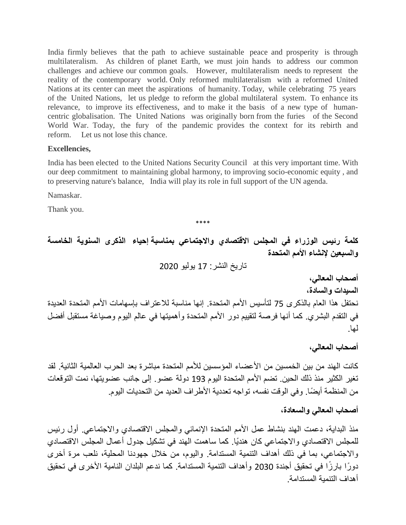India firmly believes that the path to achieve sustainable peace and prosperity is through multilateralism. As children of planet Earth, we must join hands to address our common challenges and achieve our common goals. However, multilateralism needs to represent the reality of the contemporary world. Only reformed multilateralism with a reformed United Nations at its center can meet the aspirations of humanity. Today, while celebrating 75 years of the United Nations, let us pledge to reform the global multilateral system. To enhance its relevance, to improve its effectiveness, and to make it the basis of a new type of humancentric globalisation. The United Nations was originally born from the furies of the Second World War. Today, the fury of the pandemic provides the context for its rebirth and reform. Let us not lose this chance.

#### **Excellencies,**

India has been elected to the United Nations Security Council at this very important time. With our deep commitment to maintaining global harmony, to improving socio-economic equity , and to preserving nature's balance, India will play its role in full support of the UN agenda.

Namaskar.

Thank you.

\*\*\*\*

**كلمة رئيس الوزراء في المجلس االقتصادي واالجتماعي بمناسبة إحياء الذكرى السنوية الخامسة والسبعين إلنشاء األمم المتحدة**

تاريخ النشر: 17 يوليو 2020

**أصحاب المعالي،**

**السيدات والسادة،**

نحتفل هذا العام بالذكرى 75 لتأسيس الأمم المتحدة. إنها مناسبة للاعتراف بإسهامات الأمم المتحدة العديدة في التقدم البشري. كما أنها فرصة لتقييم دور الأمم المتحدة وأهميتها في عالم اليوم وصياغة مستقبل أفضل لها.

**أصحاب المعالي،**

كانت الهند من بين الخمسين من الأعضاء المؤسسين للأمم المتحدة مباشرة بعد الحرب العالمية الثانية. لقد تغير الكثير منذ ذلك الحين. تضم الأمم المتحدة اليوم 193 دولة عضو. إلى جانب عضويتها، نمت التوقعات من المنظمة أيضًا. وفي الوقت نفسه، تواجه تعددية الأطراف العديد من التحديات اليوم.

### **أصحاب المعالي والسعادة،**

منذ البداية، دعمت الهند بنشاط عمل الأمم المتحدة الإنمائي والمجلس الاقتصادي والاجتماعي. أول رئيس للمجلس الاقتصادي والاجتماعي كان هنديًا. كما ساهمت الهند في تشكيل جدول أعمال المجلس الاقتصادي والاجتماعي، بما في ذلك أهداف التنمية المستدامة. واليوم، من خلال جهودنا المحلية، نلعب مرة أخرى دورًا بارزًا في تحقيق أجندة 2030 وأهداف النتمية المستدامة. كما ندعم البلدان النامية الأخرى في تحقيق أهداف التنمية المستدامة.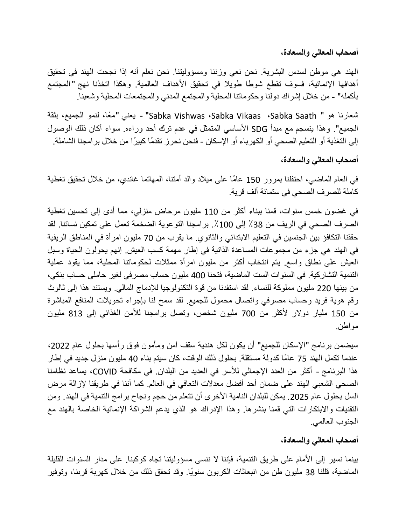**أصحاب المعالي والسعادة،**

الهند هي موطن لسدس البشرية. نحن نعى وزننا ومسؤوليتنا. نحن نعلم أنه إذا نجحت الهند في تحقيق أهدافها الإنمائية، فسوف تقطع شوطا طويلا في تحقيق الأهداف العالمية. وهكذا اتخذنا نهج "المجتمع بأكمله" - من خلال إشراك دولنا وحكوماتنا المحلية والمجتمع المدني والمجتمعات المحلية وشعبنا.

شعارنا هو " Sabka Vishwas ،Sabka Vikaas ،Sabka Saath" - يعني "معًا، لنمو الجميع، بثقة الجميع". وهذا ينسجم مع مبدأ SDG الأساسي المتمثل في عدم ترك أحد وراءه. سواء أكان ذلك الوصول إلى التغذية أو التعليم الصحى أو الكهرباء أو الإسكان - فنحن نحرز تقدمًا كبيرًا من خلال برامجنا الشاملة.

**أصحاب المعالي والسعادة،**

في العام الماضي، احتفلنا بمرور 150 عامًا على ميلاد والد أمتنا، المهاتما غاندي، من خلال تحقيق تغطية كاملة للصرف الصحى في ستمائة ألف قرية.

في غضون خمس سنوات، قمنا ببناء أكثر من 110 مليون مرحاض منزلي، مما أدى إلى تحسين تغطية الصرف الصحى في الريف من 38٪ إلى 100٪. برامجنا التوعوية الضخمة تعمل على تمكين نسائنا. لقد حققنا التكافؤ بين الجنسين في التعليم الابتدائي والثانوي. ما يقرب من 70 مليون امر أة في المناطق الر يفية في الهند هي جزء من مجموعات المساعدة الذاتية في إطار مهمة كسب العيش. إنهم يحولون الحياة وسبل العيش على نطاق واسع. يتم انتخاب أكثر من مليون امرأة ممثلات لحكوماتنا المحلية، مما يقود عملية التنمية التشاركية. في السنوات الست الماضية، فتحنا 400 مليون حساب مصرفي لغير حاملي حساب بنكي، من بينها 220 مليون مملوكة للنساء. لقد استفدنا من قوة التكنولوجيا للإدماج المالي. ويستند هذا إلى ثالوث رقم هوية فريد وحساب مصرفي واتصال محمول للجميع. لقد سمح لنا بإجراء تحويلات المنافع المباشرة من 150 مليار دولار لأكثر من 700 مليون شخص، وتصل برامجنا للأمن الغذائي إلى 813 مليون مواطن.

سيضمن برنامج "الإسكان للجميع" أن يكون لكل هندية سقف آمن ومأمون فوق رأسها بحلول عام 2022، عندما تكمل الهند 75 عامًا كدولة مستقلة. بحلول ذلك الوقت، كان سيتم بناء 40 مليون منزل جديد في إطار هذا البرنامج - أكثر من العدد الإجمالي للأسر في العديد من البلدان. في مكافحة COVID، يساعد نظامنا الصحى الشعبي الهند على ضمان أحد أفضل معدلات التعافي في العالم. كما أننا في طريقنا لإزالة مرض السل بحلول عام 2025 ٍ بمكن للبلدان النامية الأخرى أن تتعلم من حجم ونجاح برامج التنمية في الهند. ومن التقنيات والابتكارات التي قمنا بنشرها. وهذا الإدراك هو الذي يدعم الشراكة الإنمائية الخاصة بالهند مع الجنوب العالم.ً

**أصحاب المعالي والسعادة،**

بينما نسير إلى الأمام على طريق التنمية، فإننا لا ننسى مسؤوليتنا تجاه كوكبنا. على مدار السنوات القليلة الماضية، قللنا 38 مليون طن من انبعاثات الكربون سنويًا. وقد تحقق ذلك من خلال كهربة قرىنا، وتوفير